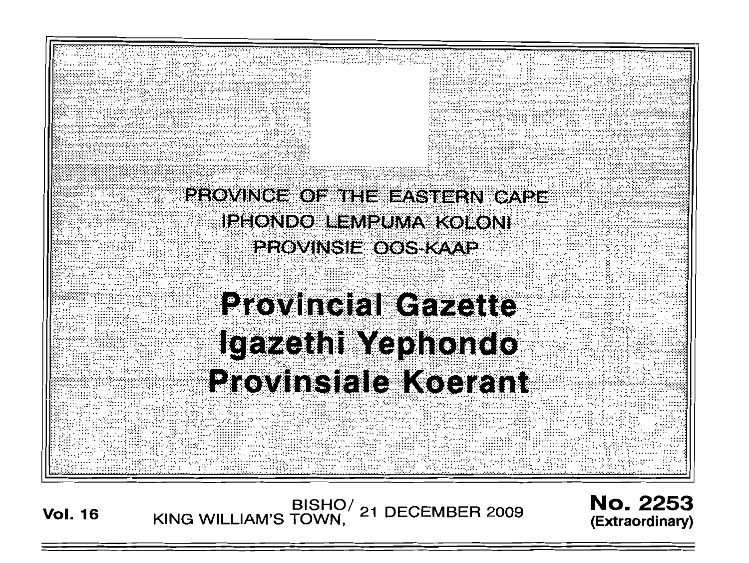

# Igazethi Yephondo **Provinsiale Koerant**

BISHO/ 21 DECEMBER 2009<br>KING WILLIAM'S TOWN, 21 DECEMBER 2009

**No. 2253** (Extraordinary)

**Vol. 16**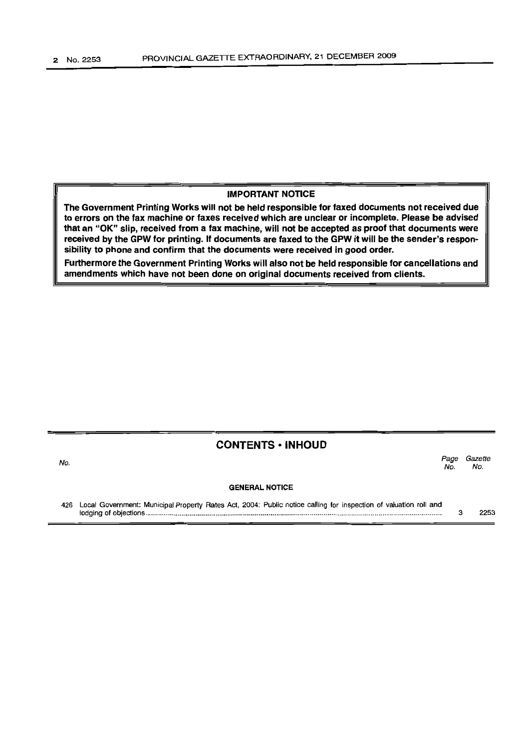#### IMPORTANT NOTICE

The Government Printing Works will not be held responsible for faxed documents not received due to errors on the fax machine or faxes received which are unclear or incomplete. Please be advised that an "OK" slip, received from a fax machine, will not be accepted as proof that documents were received by the GPW for printing. If documents are faxed to the GPW it will be the sender's responsibility to phone and confirm that the documents were received in good order.

Furthermore the Government Printing Works will also not be held responsible for cancellations and amendments which have not been done on original documents received from clients.

### **CONTENTS ·INHOUD**

No. GENERAL NOTICE *Page Gazette* No. No.

426 Local Government: Municipal Property Rates Act, 2004: Public notice calling for inspection of valuation roll and lodging of objections . 3 2253